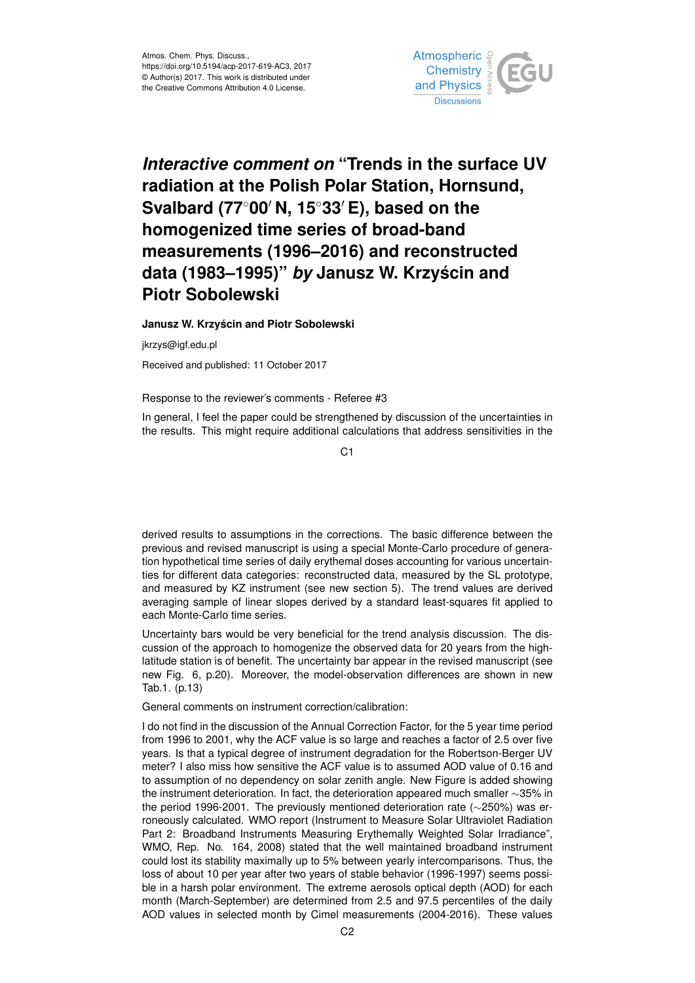

## *Interactive comment on* **"Trends in the surface UV radiation at the Polish Polar Station, Hornsund, Svalbard (77<sup>◦</sup>00<sup>** $′$ **</sup> N, 15<sup>◦</sup>33<sup>** $′$ **</sup> E), based on the homogenized time series of broad-band measurements (1996–2016) and reconstructed data (1983–1995)"** *by* **Janusz W. Krzyscin and ´ Piotr Sobolewski**

**Janusz W. Krzyscin and Piotr Sobolewski ´**

jkrzys@igf.edu.pl

Received and published: 11 October 2017

Response to the reviewer's comments - Referee #3

In general, I feel the paper could be strengthened by discussion of the uncertainties in the results. This might require additional calculations that address sensitivities in the

 $C<sub>1</sub>$ 

derived results to assumptions in the corrections. The basic difference between the previous and revised manuscript is using a special Monte-Carlo procedure of generation hypothetical time series of daily erythemal doses accounting for various uncertainties for different data categories: reconstructed data, measured by the SL prototype, and measured by KZ instrument (see new section 5). The trend values are derived averaging sample of linear slopes derived by a standard least-squares fit applied to each Monte-Carlo time series.

Uncertainty bars would be very beneficial for the trend analysis discussion. The discussion of the approach to homogenize the observed data for 20 years from the highlatitude station is of benefit. The uncertainty bar appear in the revised manuscript (see new Fig. 6, p.20). Moreover, the model-observation differences are shown in new Tab.1. (p.13)

General comments on instrument correction/calibration:

I do not find in the discussion of the Annual Correction Factor, for the 5 year time period from 1996 to 2001, why the ACF value is so large and reaches a factor of 2.5 over five years. Is that a typical degree of instrument degradation for the Robertson-Berger UV meter? I also miss how sensitive the ACF value is to assumed AOD value of 0.16 and to assumption of no dependency on solar zenith angle. New Figure is added showing the instrument deterioration. In fact, the deterioration appeared much smaller ∼35% in the period 1996-2001. The previously mentioned deterioration rate (∼250%) was erroneously calculated. WMO report (Instrument to Measure Solar Ultraviolet Radiation Part 2: Broadband Instruments Measuring Erythemally Weighted Solar Irradiance", WMO, Rep. No. 164, 2008) stated that the well maintained broadband instrument could lost its stability maximally up to 5% between yearly intercomparisons. Thus, the loss of about 10 per year after two years of stable behavior (1996-1997) seems possible in a harsh polar environment. The extreme aerosols optical depth (AOD) for each month (March-September) are determined from 2.5 and 97.5 percentiles of the daily AOD values in selected month by Cimel measurements (2004-2016). These values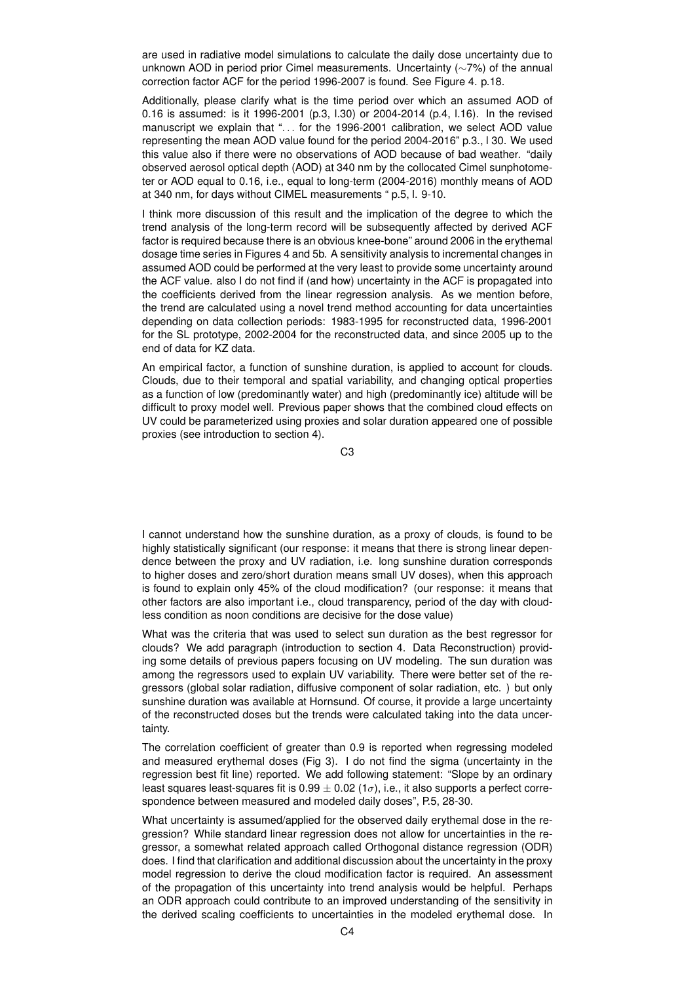are used in radiative model simulations to calculate the daily dose uncertainty due to unknown AOD in period prior Cimel measurements. Uncertainty (∼7%) of the annual correction factor ACF for the period 1996-2007 is found. See Figure 4. p.18.

Additionally, please clarify what is the time period over which an assumed AOD of 0.16 is assumed: is it 1996-2001 (p.3, l.30) or 2004-2014 (p.4, l.16). In the revised manuscript we explain that ". . . for the 1996-2001 calibration, we select AOD value representing the mean AOD value found for the period 2004-2016" p.3., l 30. We used this value also if there were no observations of AOD because of bad weather. "daily observed aerosol optical depth (AOD) at 340 nm by the collocated Cimel sunphotometer or AOD equal to 0.16, i.e., equal to long-term (2004-2016) monthly means of AOD at 340 nm, for days without CIMEL measurements " p.5, l. 9-10.

I think more discussion of this result and the implication of the degree to which the trend analysis of the long-term record will be subsequently affected by derived ACF factor is required because there is an obvious knee-bone" around 2006 in the erythemal dosage time series in Figures 4 and 5b. A sensitivity analysis to incremental changes in assumed AOD could be performed at the very least to provide some uncertainty around the ACF value. also I do not find if (and how) uncertainty in the ACF is propagated into the coefficients derived from the linear regression analysis. As we mention before, the trend are calculated using a novel trend method accounting for data uncertainties depending on data collection periods: 1983-1995 for reconstructed data, 1996-2001 for the SL prototype, 2002-2004 for the reconstructed data, and since 2005 up to the end of data for KZ data.

An empirical factor, a function of sunshine duration, is applied to account for clouds. Clouds, due to their temporal and spatial variability, and changing optical properties as a function of low (predominantly water) and high (predominantly ice) altitude will be difficult to proxy model well. Previous paper shows that the combined cloud effects on UV could be parameterized using proxies and solar duration appeared one of possible proxies (see introduction to section 4).

C3

I cannot understand how the sunshine duration, as a proxy of clouds, is found to be highly statistically significant (our response: it means that there is strong linear dependence between the proxy and UV radiation, i.e. long sunshine duration corresponds to higher doses and zero/short duration means small UV doses), when this approach is found to explain only 45% of the cloud modification? (our response: it means that other factors are also important i.e., cloud transparency, period of the day with cloudless condition as noon conditions are decisive for the dose value)

What was the criteria that was used to select sun duration as the best regressor for clouds? We add paragraph (introduction to section 4. Data Reconstruction) providing some details of previous papers focusing on UV modeling. The sun duration was among the regressors used to explain UV variability. There were better set of the regressors (global solar radiation, diffusive component of solar radiation, etc. ) but only sunshine duration was available at Hornsund. Of course, it provide a large uncertainty of the reconstructed doses but the trends were calculated taking into the data uncertainty.

The correlation coefficient of greater than 0.9 is reported when regressing modeled and measured erythemal doses (Fig 3). I do not find the sigma (uncertainty in the regression best fit line) reported. We add following statement: "Slope by an ordinary least squares least-squares fit is  $0.99 \pm 0.02$  (1 $\sigma$ ), i.e., it also supports a perfect correspondence between measured and modeled daily doses", P.5, 28-30.

What uncertainty is assumed/applied for the observed daily erythemal dose in the regression? While standard linear regression does not allow for uncertainties in the regressor, a somewhat related approach called Orthogonal distance regression (ODR) does. I find that clarification and additional discussion about the uncertainty in the proxy model regression to derive the cloud modification factor is required. An assessment of the propagation of this uncertainty into trend analysis would be helpful. Perhaps an ODR approach could contribute to an improved understanding of the sensitivity in the derived scaling coefficients to uncertainties in the modeled erythemal dose. In